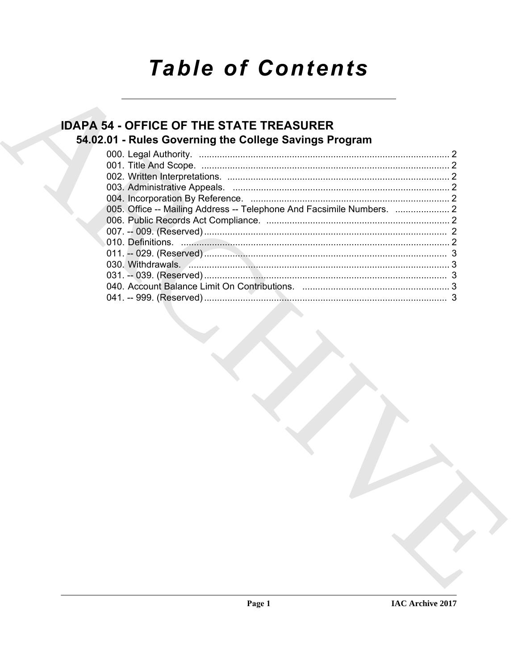# **Table of Contents**

# **IDAPA 54 - OFFICE OF THE STATE TREASURER** 54.02.01 - Rules Governing the College Savings Program

| 005. Office -- Mailing Address -- Telephone And Facsimile Numbers.  2                   |  |
|-----------------------------------------------------------------------------------------|--|
|                                                                                         |  |
|                                                                                         |  |
|                                                                                         |  |
|                                                                                         |  |
| 030. Withdrawals. <u>Announces and Communications</u> and announces and announces and 3 |  |
|                                                                                         |  |
|                                                                                         |  |
|                                                                                         |  |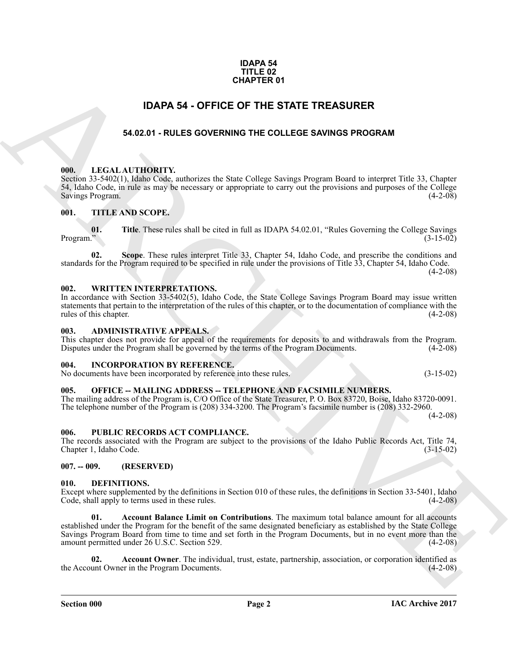#### **IDAPA 54 TITLE 02 CHAPTER 01**

## **IDAPA 54 - OFFICE OF THE STATE TREASURER**

#### **54.02.01 - RULES GOVERNING THE COLLEGE SAVINGS PROGRAM**

#### <span id="page-1-2"></span><span id="page-1-1"></span>**000. LEGAL AUTHORITY.**

Section 33-5402(1), Idaho Code, authorizes the State College Savings Program Board to interpret Title 33, Chapter 54, Idaho Code, in rule as may be necessary or appropriate to carry out the provisions and purposes of the College Savings Program. (4-2-08)

#### <span id="page-1-3"></span>**001. TITLE AND SCOPE.**

**01.** Title. These rules shall be cited in full as IDAPA 54.02.01, "Rules Governing the College Savings". Program." (3-15-02)

**02. Scope**. These rules interpret Title 33, Chapter 54, Idaho Code, and prescribe the conditions and standards for the Program required to be specified in rule under the provisions of Title 33, Chapter 54, Idaho Code.  $(4-2-08)$ 

<span id="page-1-4"></span>**002. WRITTEN INTERPRETATIONS.**

In accordance with Section 33-5402(5), Idaho Code, the State College Savings Program Board may issue written statements that pertain to the interpretation of the rules of this chapter, or to the documentation of compliance with the rules of this chapter. (4-2-08)

#### <span id="page-1-5"></span>**003. ADMINISTRATIVE APPEALS.**

This chapter does not provide for appeal of the requirements for deposits to and withdrawals from the Program.<br>Disputes under the Program shall be governed by the terms of the Program Documents. (4-2-08) Disputes under the Program shall be governed by the terms of the Program Documents.

#### <span id="page-1-6"></span>**004. INCORPORATION BY REFERENCE.**

No documents have been incorporated by reference into these rules. (3-15-02)

#### <span id="page-1-7"></span>**005. OFFICE -- MAILING ADDRESS -- TELEPHONE AND FACSIMILE NUMBERS.**

The mailing address of the Program is, C/O Office of the State Treasurer, P. O. Box 83720, Boise, Idaho 83720-0091. The telephone number of the Program is (208) 334-3200. The Program's facsimile number is (208) 332-2960.  $(4-2-08)$ 

#### <span id="page-1-8"></span>**006. PUBLIC RECORDS ACT COMPLIANCE.**

The records associated with the Program are subject to the provisions of the Idaho Public Records Act, Title 74, Chapter 1, Idaho Code. (3-15-02) Chapter 1, Idaho Code.

#### <span id="page-1-9"></span>**007. -- 009. (RESERVED)**

#### <span id="page-1-11"></span><span id="page-1-10"></span>**010. DEFINITIONS.**

<span id="page-1-12"></span>Except where supplemented by the definitions in Section 010 of these rules, the definitions in Section 33-5401, Idaho Code, shall apply to terms used in these rules.

<span id="page-1-0"></span>**EXAMPLE REACTIVE STATE TREASURER**<br> **EXAMPLE SALES GOVERNING THE COLLEGE SAVINGS PROGRAM**<br> **EXAMPLE SALES GOVERNING THE COLLEGE SAVINGS PROGRAM**<br> **EXAMPLE SALES CONTINUES CONTINUES CONTINUES (SEE CONTINUES)**<br> **EXAMPLE SAL 01. Account Balance Limit on Contributions**. The maximum total balance amount for all accounts established under the Program for the benefit of the same designated beneficiary as established by the State College Savings Program Board from time to time and set forth in the Program Documents, but in no event more than the amount permitted under 26 U.S.C. Section 529. amount permitted under 26 U.S.C. Section 529.

<span id="page-1-13"></span>**02.** Account Owner. The individual, trust, estate, partnership, association, or corporation identified as unt Owner in the Program Documents. (4-2-08) the Account Owner in the Program Documents.

**Section 000 Page 2**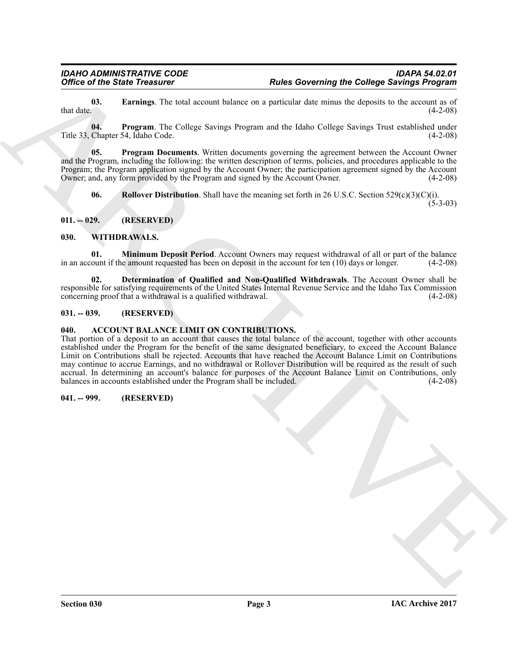<span id="page-2-6"></span>**03. Earnings**. The total account balance on a particular date minus the deposits to the account as of that date. (4-2-08) that date.  $(4-2-08)$ 

<span id="page-2-7"></span>**04. Program**. The College Savings Program and the Idaho College Savings Trust established under Title 33, Chapter 54, Idaho Code. (4-2-08)

**05. Program Documents**. Written documents governing the agreement between the Account Owner and the Program, including the following: the written description of terms, policies, and procedures applicable to the Program; the Program application signed by the Account Owner; the participation agreement signed by the Account Owner; and, any form provided by the Program and signed by the Account Owner. (4-2-08)

<span id="page-2-12"></span><span id="page-2-9"></span><span id="page-2-8"></span>**06.** Rollover Distribution. Shall have the meaning set forth in 26 U.S.C. Section 529(c)(3)(C)(i).  $(5-3-03)$ 

#### <span id="page-2-0"></span>**011. -- 029. (RESERVED)**

#### <span id="page-2-10"></span><span id="page-2-1"></span>**030. WITHDRAWALS.**

**01. Minimum Deposit Period**. Account Owners may request withdrawal of all or part of the balance ount if the amount requested has been on deposit in the account for ten (10) days or longer. (4-2-08) in an account if the amount requested has been on deposit in the account for ten  $(10)$  days or longer.

<span id="page-2-11"></span>**02. Determination of Qualified and Non-Qualified Withdrawals**. The Account Owner shall be responsible for satisfying requirements of the United States Internal Revenue Service and the Idaho Tax Commission concerning proof that a withdrawal is a qualified withdrawal. (4-2-08) concerning proof that a withdrawal is a qualified withdrawal.

#### <span id="page-2-2"></span>**031. -- 039. (RESERVED)**

#### <span id="page-2-5"></span><span id="page-2-3"></span>**040. ACCOUNT BALANCE LIMIT ON CONTRIBUTIONS.**

Office of the State Treasurer<br>
Had date.<br>
Had dates a result of the state system in the case of system and the local control as equal to the system in the state of the system of the system of the system of the system of t That portion of a deposit to an account that causes the total balance of the account, together with other accounts established under the Program for the benefit of the same designated beneficiary, to exceed the Account Balance Limit on Contributions shall be rejected. Accounts that have reached the Account Balance Limit on Contributions may continue to accrue Earnings, and no withdrawal or Rollover Distribution will be required as the result of such accrual. In determining an account's balance for purposes of the Account Balance Limit on Contributions, only balances in accounts established under the Program shall be included. (4-2-08)

#### <span id="page-2-4"></span>**041. -- 999. (RESERVED)**